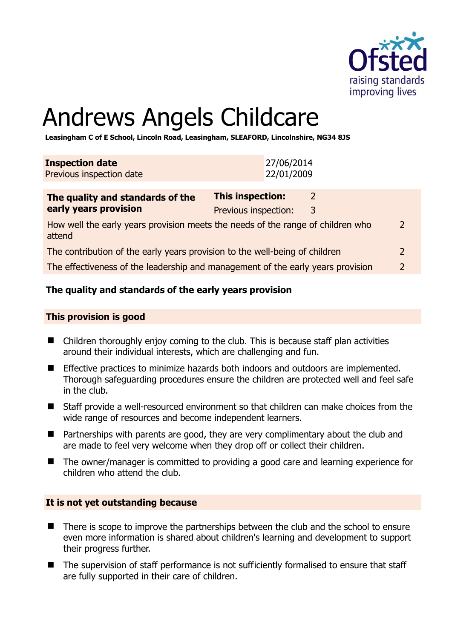

# Andrews Angels Childcare

**Leasingham C of E School, Lincoln Road, Leasingham, SLEAFORD, Lincolnshire, NG34 8JS** 

| <b>Inspection date</b><br>Previous inspection date                                        |                           | 27/06/2014<br>22/01/2009 |   |  |
|-------------------------------------------------------------------------------------------|---------------------------|--------------------------|---|--|
| The quality and standards of the                                                          | This inspection:          |                          | 2 |  |
| early years provision                                                                     | Previous inspection:<br>3 |                          |   |  |
| How well the early years provision meets the needs of the range of children who<br>attend |                           |                          |   |  |
| The contribution of the early years provision to the well-being of children               |                           |                          |   |  |
| The effectiveness of the leadership and management of the early years provision           |                           |                          |   |  |

# **The quality and standards of the early years provision**

#### **This provision is good**

- Children thoroughly enjoy coming to the club. This is because staff plan activities around their individual interests, which are challenging and fun.
- **Effective practices to minimize hazards both indoors and outdoors are implemented.** Thorough safeguarding procedures ensure the children are protected well and feel safe in the club.
- Staff provide a well-resourced environment so that children can make choices from the wide range of resources and become independent learners.
- Partnerships with parents are good, they are very complimentary about the club and are made to feel very welcome when they drop off or collect their children.
- The owner/manager is committed to providing a good care and learning experience for children who attend the club.

#### **It is not yet outstanding because**

- There is scope to improve the partnerships between the club and the school to ensure even more information is shared about children's learning and development to support their progress further.
- The supervision of staff performance is not sufficiently formalised to ensure that staff are fully supported in their care of children.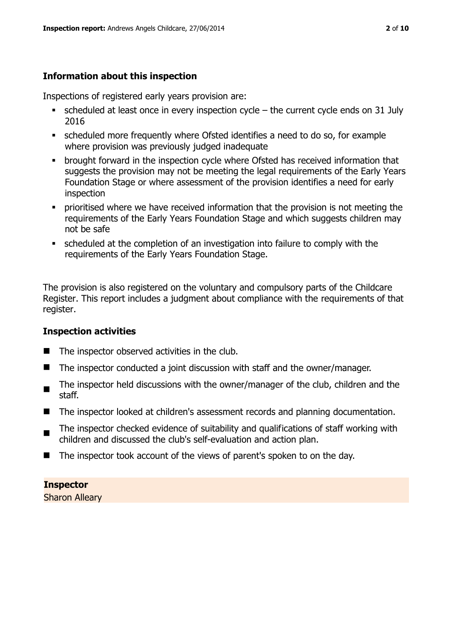# **Information about this inspection**

Inspections of registered early years provision are:

- scheduled at least once in every inspection cycle the current cycle ends on 31 July 2016
- scheduled more frequently where Ofsted identifies a need to do so, for example where provision was previously judged inadequate
- **•** brought forward in the inspection cycle where Ofsted has received information that suggests the provision may not be meeting the legal requirements of the Early Years Foundation Stage or where assessment of the provision identifies a need for early inspection
- **•** prioritised where we have received information that the provision is not meeting the requirements of the Early Years Foundation Stage and which suggests children may not be safe
- scheduled at the completion of an investigation into failure to comply with the requirements of the Early Years Foundation Stage.

The provision is also registered on the voluntary and compulsory parts of the Childcare Register. This report includes a judgment about compliance with the requirements of that register.

# **Inspection activities**

- $\blacksquare$  The inspector observed activities in the club.
- The inspector conducted a joint discussion with staff and the owner/manager.
- The inspector held discussions with the owner/manager of the club, children and the staff.
- The inspector looked at children's assessment records and planning documentation.
- $\blacksquare$ The inspector checked evidence of suitability and qualifications of staff working with children and discussed the club's self-evaluation and action plan.
- The inspector took account of the views of parent's spoken to on the day.

**Inspector**  Sharon Alleary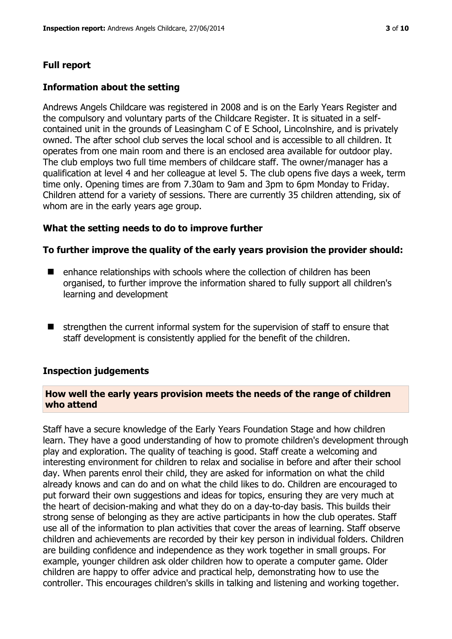# **Full report**

#### **Information about the setting**

Andrews Angels Childcare was registered in 2008 and is on the Early Years Register and the compulsory and voluntary parts of the Childcare Register. It is situated in a selfcontained unit in the grounds of Leasingham C of E School, Lincolnshire, and is privately owned. The after school club serves the local school and is accessible to all children. It operates from one main room and there is an enclosed area available for outdoor play. The club employs two full time members of childcare staff. The owner/manager has a qualification at level 4 and her colleague at level 5. The club opens five days a week, term time only. Opening times are from 7.30am to 9am and 3pm to 6pm Monday to Friday. Children attend for a variety of sessions. There are currently 35 children attending, six of whom are in the early years age group.

#### **What the setting needs to do to improve further**

#### **To further improve the quality of the early years provision the provider should:**

- $\blacksquare$  enhance relationships with schools where the collection of children has been organised, to further improve the information shared to fully support all children's learning and development
- $\blacksquare$  strengthen the current informal system for the supervision of staff to ensure that staff development is consistently applied for the benefit of the children.

#### **Inspection judgements**

#### **How well the early years provision meets the needs of the range of children who attend**

Staff have a secure knowledge of the Early Years Foundation Stage and how children learn. They have a good understanding of how to promote children's development through play and exploration. The quality of teaching is good. Staff create a welcoming and interesting environment for children to relax and socialise in before and after their school day. When parents enrol their child, they are asked for information on what the child already knows and can do and on what the child likes to do. Children are encouraged to put forward their own suggestions and ideas for topics, ensuring they are very much at the heart of decision-making and what they do on a day-to-day basis. This builds their strong sense of belonging as they are active participants in how the club operates. Staff use all of the information to plan activities that cover the areas of learning. Staff observe children and achievements are recorded by their key person in individual folders. Children are building confidence and independence as they work together in small groups. For example, younger children ask older children how to operate a computer game. Older children are happy to offer advice and practical help, demonstrating how to use the controller. This encourages children's skills in talking and listening and working together.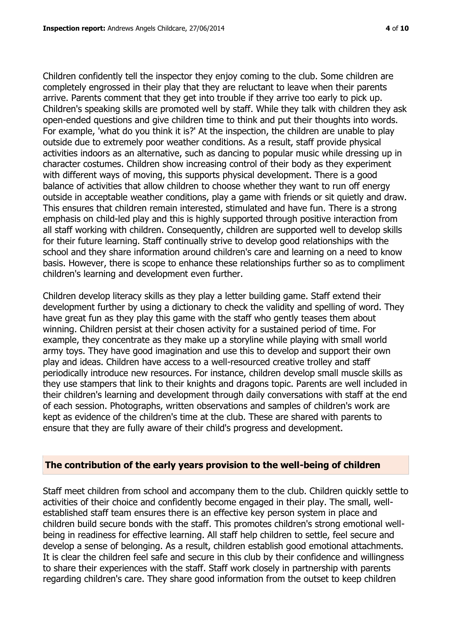Children confidently tell the inspector they enjoy coming to the club. Some children are completely engrossed in their play that they are reluctant to leave when their parents arrive. Parents comment that they get into trouble if they arrive too early to pick up. Children's speaking skills are promoted well by staff. While they talk with children they ask open-ended questions and give children time to think and put their thoughts into words. For example, 'what do you think it is?' At the inspection, the children are unable to play outside due to extremely poor weather conditions. As a result, staff provide physical activities indoors as an alternative, such as dancing to popular music while dressing up in character costumes. Children show increasing control of their body as they experiment with different ways of moving, this supports physical development. There is a good balance of activities that allow children to choose whether they want to run off energy outside in acceptable weather conditions, play a game with friends or sit quietly and draw. This ensures that children remain interested, stimulated and have fun. There is a strong emphasis on child-led play and this is highly supported through positive interaction from all staff working with children. Consequently, children are supported well to develop skills for their future learning. Staff continually strive to develop good relationships with the school and they share information around children's care and learning on a need to know basis. However, there is scope to enhance these relationships further so as to compliment children's learning and development even further.

Children develop literacy skills as they play a letter building game. Staff extend their development further by using a dictionary to check the validity and spelling of word. They have great fun as they play this game with the staff who gently teases them about winning. Children persist at their chosen activity for a sustained period of time. For example, they concentrate as they make up a storyline while playing with small world army toys. They have good imagination and use this to develop and support their own play and ideas. Children have access to a well-resourced creative trolley and staff periodically introduce new resources. For instance, children develop small muscle skills as they use stampers that link to their knights and dragons topic. Parents are well included in their children's learning and development through daily conversations with staff at the end of each session. Photographs, written observations and samples of children's work are kept as evidence of the children's time at the club. These are shared with parents to ensure that they are fully aware of their child's progress and development.

#### **The contribution of the early years provision to the well-being of children**

Staff meet children from school and accompany them to the club. Children quickly settle to activities of their choice and confidently become engaged in their play. The small, wellestablished staff team ensures there is an effective key person system in place and children build secure bonds with the staff. This promotes children's strong emotional wellbeing in readiness for effective learning. All staff help children to settle, feel secure and develop a sense of belonging. As a result, children establish good emotional attachments. It is clear the children feel safe and secure in this club by their confidence and willingness to share their experiences with the staff. Staff work closely in partnership with parents regarding children's care. They share good information from the outset to keep children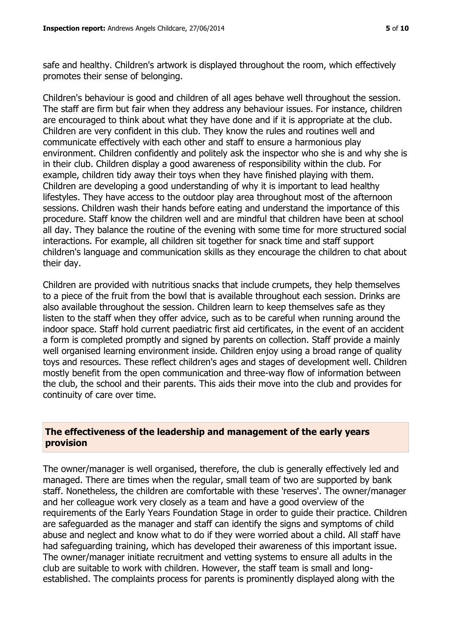safe and healthy. Children's artwork is displayed throughout the room, which effectively promotes their sense of belonging.

Children's behaviour is good and children of all ages behave well throughout the session. The staff are firm but fair when they address any behaviour issues. For instance, children are encouraged to think about what they have done and if it is appropriate at the club. Children are very confident in this club. They know the rules and routines well and communicate effectively with each other and staff to ensure a harmonious play environment. Children confidently and politely ask the inspector who she is and why she is in their club. Children display a good awareness of responsibility within the club. For example, children tidy away their toys when they have finished playing with them. Children are developing a good understanding of why it is important to lead healthy lifestyles. They have access to the outdoor play area throughout most of the afternoon sessions. Children wash their hands before eating and understand the importance of this procedure. Staff know the children well and are mindful that children have been at school all day. They balance the routine of the evening with some time for more structured social interactions. For example, all children sit together for snack time and staff support children's language and communication skills as they encourage the children to chat about their day.

Children are provided with nutritious snacks that include crumpets, they help themselves to a piece of the fruit from the bowl that is available throughout each session. Drinks are also available throughout the session. Children learn to keep themselves safe as they listen to the staff when they offer advice, such as to be careful when running around the indoor space. Staff hold current paediatric first aid certificates, in the event of an accident a form is completed promptly and signed by parents on collection. Staff provide a mainly well organised learning environment inside. Children enjoy using a broad range of quality toys and resources. These reflect children's ages and stages of development well. Children mostly benefit from the open communication and three-way flow of information between the club, the school and their parents. This aids their move into the club and provides for continuity of care over time.

# **The effectiveness of the leadership and management of the early years provision**

The owner/manager is well organised, therefore, the club is generally effectively led and managed. There are times when the regular, small team of two are supported by bank staff. Nonetheless, the children are comfortable with these 'reserves'. The owner/manager and her colleague work very closely as a team and have a good overview of the requirements of the Early Years Foundation Stage in order to guide their practice. Children are safeguarded as the manager and staff can identify the signs and symptoms of child abuse and neglect and know what to do if they were worried about a child. All staff have had safeguarding training, which has developed their awareness of this important issue. The owner/manager initiate recruitment and vetting systems to ensure all adults in the club are suitable to work with children. However, the staff team is small and longestablished. The complaints process for parents is prominently displayed along with the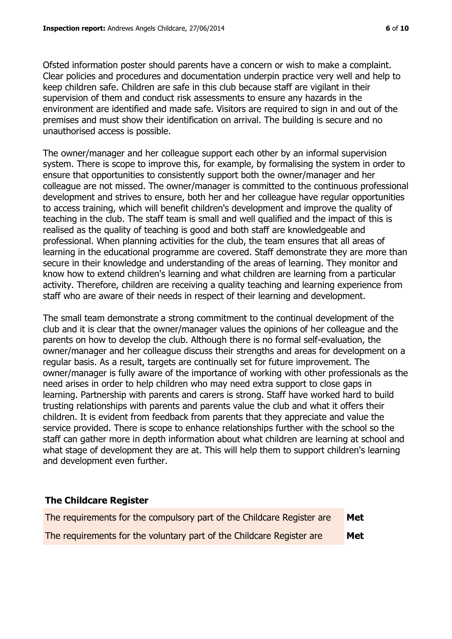Ofsted information poster should parents have a concern or wish to make a complaint. Clear policies and procedures and documentation underpin practice very well and help to keep children safe. Children are safe in this club because staff are vigilant in their supervision of them and conduct risk assessments to ensure any hazards in the environment are identified and made safe. Visitors are required to sign in and out of the premises and must show their identification on arrival. The building is secure and no unauthorised access is possible.

The owner/manager and her colleague support each other by an informal supervision system. There is scope to improve this, for example, by formalising the system in order to ensure that opportunities to consistently support both the owner/manager and her colleague are not missed. The owner/manager is committed to the continuous professional development and strives to ensure, both her and her colleague have regular opportunities to access training, which will benefit children's development and improve the quality of teaching in the club. The staff team is small and well qualified and the impact of this is realised as the quality of teaching is good and both staff are knowledgeable and professional. When planning activities for the club, the team ensures that all areas of learning in the educational programme are covered. Staff demonstrate they are more than secure in their knowledge and understanding of the areas of learning. They monitor and know how to extend children's learning and what children are learning from a particular activity. Therefore, children are receiving a quality teaching and learning experience from staff who are aware of their needs in respect of their learning and development.

The small team demonstrate a strong commitment to the continual development of the club and it is clear that the owner/manager values the opinions of her colleague and the parents on how to develop the club. Although there is no formal self-evaluation, the owner/manager and her colleague discuss their strengths and areas for development on a regular basis. As a result, targets are continually set for future improvement. The owner/manager is fully aware of the importance of working with other professionals as the need arises in order to help children who may need extra support to close gaps in learning. Partnership with parents and carers is strong. Staff have worked hard to build trusting relationships with parents and parents value the club and what it offers their children. It is evident from feedback from parents that they appreciate and value the service provided. There is scope to enhance relationships further with the school so the staff can gather more in depth information about what children are learning at school and what stage of development they are at. This will help them to support children's learning and development even further.

#### **The Childcare Register**

| The requirements for the compulsory part of the Childcare Register are | Met |
|------------------------------------------------------------------------|-----|
| The requirements for the voluntary part of the Childcare Register are  | Met |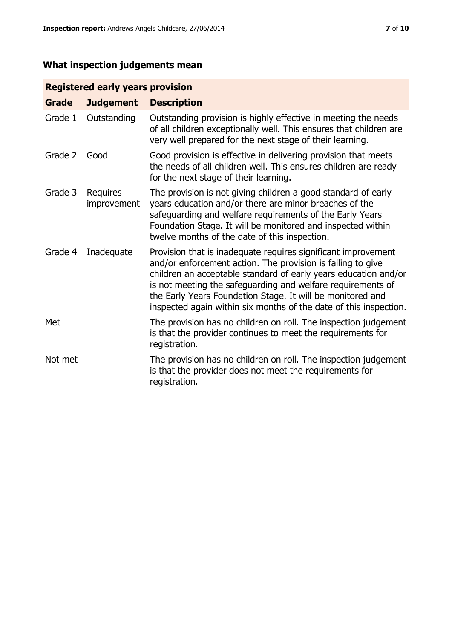# **What inspection judgements mean**

# **Registered early years provision**

| <b>Grade</b> | <b>Judgement</b>        | <b>Description</b>                                                                                                                                                                                                                                                                                                                                                                                |
|--------------|-------------------------|---------------------------------------------------------------------------------------------------------------------------------------------------------------------------------------------------------------------------------------------------------------------------------------------------------------------------------------------------------------------------------------------------|
| Grade 1      | Outstanding             | Outstanding provision is highly effective in meeting the needs<br>of all children exceptionally well. This ensures that children are<br>very well prepared for the next stage of their learning.                                                                                                                                                                                                  |
| Grade 2      | Good                    | Good provision is effective in delivering provision that meets<br>the needs of all children well. This ensures children are ready<br>for the next stage of their learning.                                                                                                                                                                                                                        |
| Grade 3      | Requires<br>improvement | The provision is not giving children a good standard of early<br>years education and/or there are minor breaches of the<br>safeguarding and welfare requirements of the Early Years<br>Foundation Stage. It will be monitored and inspected within<br>twelve months of the date of this inspection.                                                                                               |
| Grade 4      | Inadequate              | Provision that is inadequate requires significant improvement<br>and/or enforcement action. The provision is failing to give<br>children an acceptable standard of early years education and/or<br>is not meeting the safeguarding and welfare requirements of<br>the Early Years Foundation Stage. It will be monitored and<br>inspected again within six months of the date of this inspection. |
| Met          |                         | The provision has no children on roll. The inspection judgement<br>is that the provider continues to meet the requirements for<br>registration.                                                                                                                                                                                                                                                   |
| Not met      |                         | The provision has no children on roll. The inspection judgement<br>is that the provider does not meet the requirements for<br>registration.                                                                                                                                                                                                                                                       |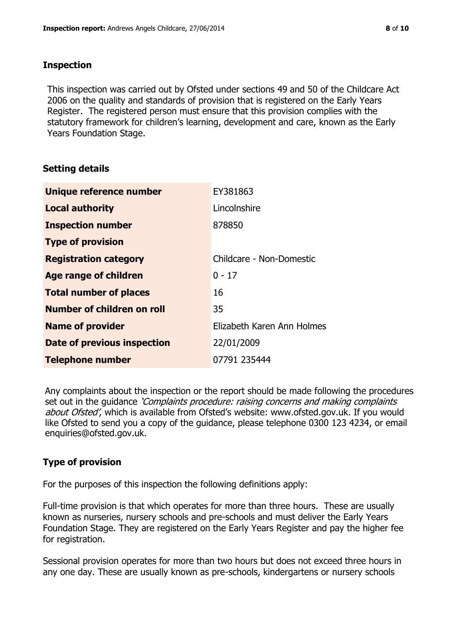# **Inspection**

This inspection was carried out by Ofsted under sections 49 and 50 of the Childcare Act 2006 on the quality and standards of provision that is registered on the Early Years Register. The registered person must ensure that this provision complies with the statutory framework for children's learning, development and care, known as the Early Years Foundation Stage.

# **Setting details**

| Unique reference number            | EY381863                   |
|------------------------------------|----------------------------|
| <b>Local authority</b>             | Lincolnshire               |
| <b>Inspection number</b>           | 878850                     |
| <b>Type of provision</b>           |                            |
| <b>Registration category</b>       | Childcare - Non-Domestic   |
| Age range of children              | $0 - 17$                   |
| <b>Total number of places</b>      | 16                         |
| Number of children on roll         | 35                         |
| <b>Name of provider</b>            | Elizabeth Karen Ann Holmes |
| <b>Date of previous inspection</b> | 22/01/2009                 |
| <b>Telephone number</b>            | 07791 235444               |

Any complaints about the inspection or the report should be made following the procedures set out in the guidance *'Complaints procedure: raising concerns and making complaints* about Ofsted', which is available from Ofsted's website: www.ofsted.gov.uk. If you would like Ofsted to send you a copy of the guidance, please telephone 0300 123 4234, or email enquiries@ofsted.gov.uk.

# **Type of provision**

For the purposes of this inspection the following definitions apply:

Full-time provision is that which operates for more than three hours. These are usually known as nurseries, nursery schools and pre-schools and must deliver the Early Years Foundation Stage. They are registered on the Early Years Register and pay the higher fee for registration.

Sessional provision operates for more than two hours but does not exceed three hours in any one day. These are usually known as pre-schools, kindergartens or nursery schools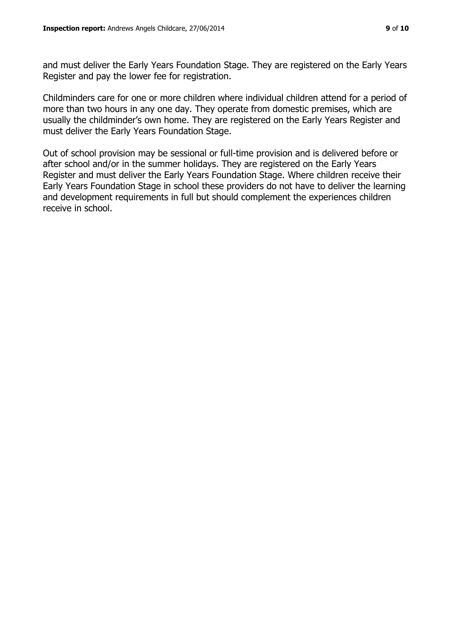and must deliver the Early Years Foundation Stage. They are registered on the Early Years Register and pay the lower fee for registration.

Childminders care for one or more children where individual children attend for a period of more than two hours in any one day. They operate from domestic premises, which are usually the childminder's own home. They are registered on the Early Years Register and must deliver the Early Years Foundation Stage.

Out of school provision may be sessional or full-time provision and is delivered before or after school and/or in the summer holidays. They are registered on the Early Years Register and must deliver the Early Years Foundation Stage. Where children receive their Early Years Foundation Stage in school these providers do not have to deliver the learning and development requirements in full but should complement the experiences children receive in school.